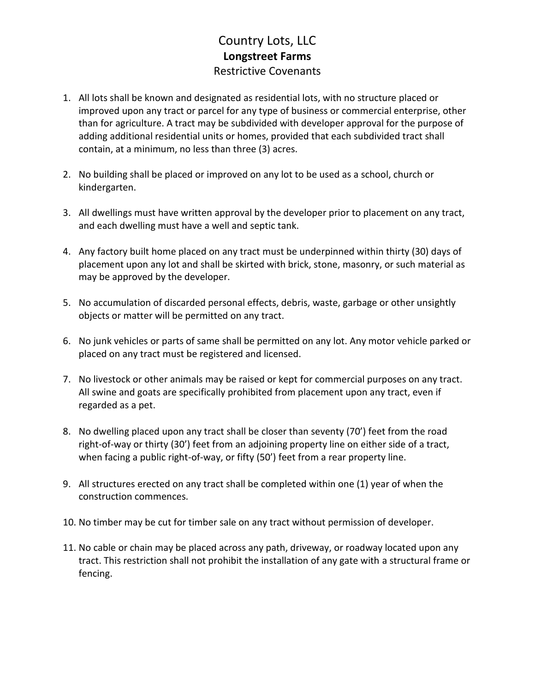## Country Lots, LLC **Longstreet Farms** Restrictive Covenants

- 1. All lots shall be known and designated as residential lots, with no structure placed or improved upon any tract or parcel for any type of business or commercial enterprise, other than for agriculture. A tract may be subdivided with developer approval for the purpose of adding additional residential units or homes, provided that each subdivided tract shall contain, at a minimum, no less than three (3) acres.
- 2. No building shall be placed or improved on any lot to be used as a school, church or kindergarten.
- 3. All dwellings must have written approval by the developer prior to placement on any tract, and each dwelling must have a well and septic tank.
- 4. Any factory built home placed on any tract must be underpinned within thirty (30) days of placement upon any lot and shall be skirted with brick, stone, masonry, or such material as may be approved by the developer.
- 5. No accumulation of discarded personal effects, debris, waste, garbage or other unsightly objects or matter will be permitted on any tract.
- 6. No junk vehicles or parts of same shall be permitted on any lot. Any motor vehicle parked or placed on any tract must be registered and licensed.
- 7. No livestock or other animals may be raised or kept for commercial purposes on any tract. All swine and goats are specifically prohibited from placement upon any tract, even if regarded as a pet.
- 8. No dwelling placed upon any tract shall be closer than seventy (70') feet from the road right-of-way or thirty (30') feet from an adjoining property line on either side of a tract, when facing a public right-of-way, or fifty (50') feet from a rear property line.
- 9. All structures erected on any tract shall be completed within one (1) year of when the construction commences.
- 10. No timber may be cut for timber sale on any tract without permission of developer.
- 11. No cable or chain may be placed across any path, driveway, or roadway located upon any tract. This restriction shall not prohibit the installation of any gate with a structural frame or fencing.